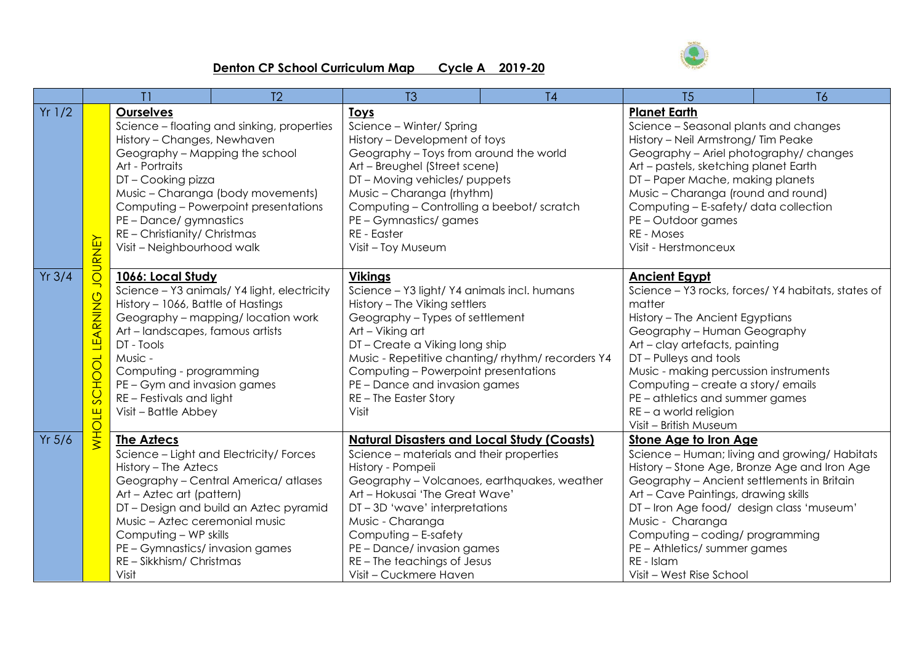

## **Denton CP School Curriculum Map Cycle A 2019-20**

|           | T1                                                               |                                                                                                                                                                                                                                                                                                                       | T <sub>2</sub>                                                                                                          | T <sub>3</sub>                                                                                                                                                                                                                                                                                                                                                         | T <sub>4</sub> | T <sub>5</sub>                                                                                                                                                                                                                                                                                                                                                                              | <b>T6</b>                                     |
|-----------|------------------------------------------------------------------|-----------------------------------------------------------------------------------------------------------------------------------------------------------------------------------------------------------------------------------------------------------------------------------------------------------------------|-------------------------------------------------------------------------------------------------------------------------|------------------------------------------------------------------------------------------------------------------------------------------------------------------------------------------------------------------------------------------------------------------------------------------------------------------------------------------------------------------------|----------------|---------------------------------------------------------------------------------------------------------------------------------------------------------------------------------------------------------------------------------------------------------------------------------------------------------------------------------------------------------------------------------------------|-----------------------------------------------|
| $Yr$ 1/2  | <b>JOURNEY</b>                                                   | <b>Ourselves</b><br>History - Changes, Newhaven<br>Geography - Mapping the school<br>Art - Portraits<br>DT - Cooking pizza<br>PE - Dance/ gymnastics<br>RE - Christianity/ Christmas<br>Visit - Neighbourhood walk                                                                                                    | Science - floating and sinking, properties<br>Music - Charanga (body movements)<br>Computing - Powerpoint presentations | <b>Toys</b><br>Science - Winter/ Spring<br>History - Development of toys<br>Geography - Toys from around the world<br>Art - Breughel (Street scene)<br>DT - Moving vehicles/ puppets<br>Music - Charanga (rhythm)<br>Computing - Controlling a beebot/ scratch<br>PE - Gymnastics/games<br>RE - Easter<br>Visit - Toy Museum                                           |                | <b>Planet Earth</b><br>Science - Seasonal plants and changes<br>History - Neil Armstrong/ Tim Peake<br>Geography - Ariel photography/ changes<br>Art - pastels, sketching planet Earth<br>DT-Paper Mache, making planets<br>Music - Charanga (round and round)<br>Computing - E-safety/ data collection<br>PE - Outdoor games<br>RE - Moses<br>Visit - Herstmonceux                         |                                               |
| $Yr$ 3/4  | <b>LEARNING</b><br>$\overline{O}$<br><b>SCHO</b><br><b>NHOLE</b> | 1066: Local Study<br>Science - Y3 animals/Y4 light, electricity<br>History - 1066, Battle of Hastings<br>Geography - mapping/location work<br>Art - landscapes, famous artists<br>DT - Tools<br>Music -<br>Computing - programming<br>PE - Gym and invasion games<br>RE - Festivals and light<br>Visit - Battle Abbey |                                                                                                                         | <b>Vikings</b><br>Science - Y3 light/ Y4 animals incl. humans<br>History - The Viking settlers<br>Geography - Types of settlement<br>Art - Viking art<br>DT-Create a Viking long ship<br>Music - Repetitive chanting/rhythm/recorders Y4<br>Computing - Powerpoint presentations<br>PE - Dance and invasion games<br>RE - The Easter Story<br>Visit                    |                | <b>Ancient Egypt</b><br>Science - Y3 rocks, forces/Y4 habitats, states of<br>matter<br>History - The Ancient Egyptians<br>Geography - Human Geography<br>Art - clay artefacts, painting<br>DT-Pulleys and tools<br>Music - making percussion instruments<br>Computing - create a story/ emails<br>PE - athletics and summer games<br>$RE - \alpha$ world religion<br>Visit - British Museum |                                               |
| $Yr\ 5/6$ |                                                                  | The Aztecs<br>History - The Aztecs<br>Art - Aztec art (pattern)<br>Music - Aztec ceremonial music<br>Computing - WP skills<br>PE - Gymnastics/invasion games<br>RE - Sikkhism/ Christmas<br>Visit                                                                                                                     | Science - Light and Electricity/ Forces<br>Geography - Central America/ atlases<br>DT-Design and build an Aztec pyramid | <b>Natural Disasters and Local Study (Coasts)</b><br>Science - materials and their properties<br>History - Pompeii<br>Geography - Volcanoes, earthquakes, weather<br>Art - Hokusai 'The Great Wave'<br>DT-3D 'wave' interpretations<br>Music - Charanga<br>Computing - E-safety<br>PE - Dance/ invasion games<br>RE - The teachings of Jesus<br>Visit - Cuckmere Haven |                | <b>Stone Age to Iron Age</b><br>History - Stone Age, Bronze Age and Iron Age<br>Geography - Ancient settlements in Britain<br>Art - Cave Paintings, drawing skills<br>DT-Iron Age food/ design class 'museum'<br>Music - Charanga<br>Computing - coding/ programming<br>PE - Athletics/ summer games<br>RE - Islam<br>Visit - West Rise School                                              | Science - Human; living and growing/ Habitats |